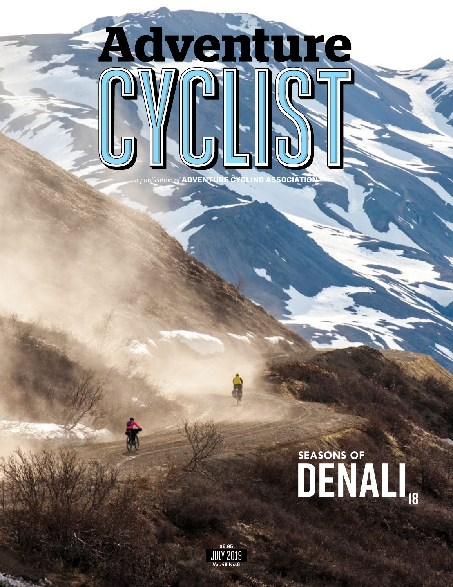

## DENALI<sub>18</sub> **SEASONS OF**

\$6.95<br>JULY 2019<br>vol.46 No.6